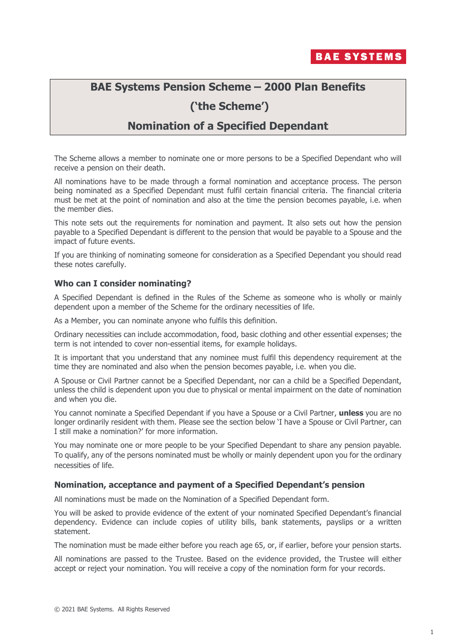

## **BAE Systems Pension Scheme – 2000 Plan Benefits**

# **('the Scheme')**

## **Nomination of a Specified Dependant**

The Scheme allows a member to nominate one or more persons to be a Specified Dependant who will receive a pension on their death.

All nominations have to be made through a formal nomination and acceptance process. The person being nominated as a Specified Dependant must fulfil certain financial criteria. The financial criteria must be met at the point of nomination and also at the time the pension becomes payable, i.e. when the member dies.

This note sets out the requirements for nomination and payment. It also sets out how the pension payable to a Specified Dependant is different to the pension that would be payable to a Spouse and the impact of future events.

If you are thinking of nominating someone for consideration as a Specified Dependant you should read these notes carefully.

#### **Who can I consider nominating?**

A Specified Dependant is defined in the Rules of the Scheme as someone who is wholly or mainly dependent upon a member of the Scheme for the ordinary necessities of life.

As a Member, you can nominate anyone who fulfils this definition.

Ordinary necessities can include accommodation, food, basic clothing and other essential expenses; the term is not intended to cover non-essential items, for example holidays.

It is important that you understand that any nominee must fulfil this dependency requirement at the time they are nominated and also when the pension becomes payable, i.e. when you die.

A Spouse or Civil Partner cannot be a Specified Dependant, nor can a child be a Specified Dependant, unless the child is dependent upon you due to physical or mental impairment on the date of nomination and when you die.

You cannot nominate a Specified Dependant if you have a Spouse or a Civil Partner, **unless** you are no longer ordinarily resident with them. Please see the section below 'I have a Spouse or Civil Partner, can I still make a nomination?' for more information.

You may nominate one or more people to be your Specified Dependant to share any pension payable. To qualify, any of the persons nominated must be wholly or mainly dependent upon you for the ordinary necessities of life.

#### **Nomination, acceptance and payment of a Specified Dependant's pension**

All nominations must be made on the Nomination of a Specified Dependant form.

You will be asked to provide evidence of the extent of your nominated Specified Dependant's financial dependency. Evidence can include copies of utility bills, bank statements, payslips or a written statement.

The nomination must be made either before you reach age 65, or, if earlier, before your pension starts.

All nominations are passed to the Trustee. Based on the evidence provided, the Trustee will either accept or reject your nomination. You will receive a copy of the nomination form for your records.